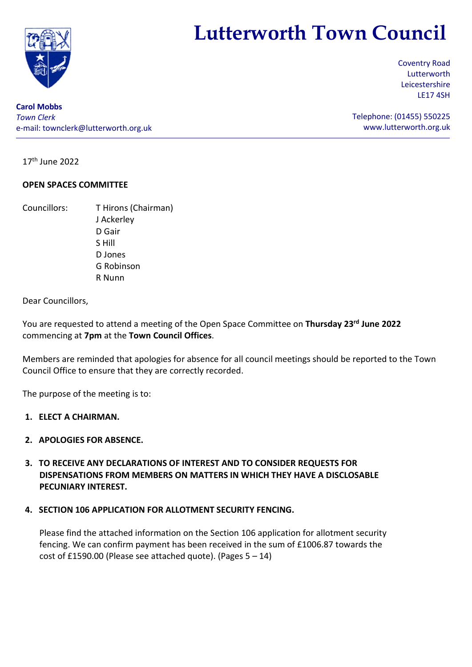

# Lutterworth Town Council

Coventry Road Lutterworth Leicestershire LE17 4SH

Telephone: (01455) 550225 www.lutterworth.org.uk

Carol Mobbs Town Clerk e-mail: townclerk@lutterworth.org.uk

17th June 2022

## OPEN SPACES COMMITTEE

Councillors: T Hirons (Chairman) J Ackerley D Gair S Hill D Jones G Robinson R Nunn

Dear Councillors,

You are requested to attend a meeting of the Open Space Committee on Thursday 23rd June 2022 commencing at 7pm at the Town Council Offices.

Members are reminded that apologies for absence for all council meetings should be reported to the Town Council Office to ensure that they are correctly recorded.

The purpose of the meeting is to:

- 1. ELECT A CHAIRMAN.
- 2. APOLOGIES FOR ABSENCE.
- 3. TO RECEIVE ANY DECLARATIONS OF INTEREST AND TO CONSIDER REQUESTS FOR DISPENSATIONS FROM MEMBERS ON MATTERS IN WHICH THEY HAVE A DISCLOSABLE PECUNIARY INTEREST.

## 4. SECTION 106 APPLICATION FOR ALLOTMENT SECURITY FENCING.

Please find the attached information on the Section 106 application for allotment security fencing. We can confirm payment has been received in the sum of £1006.87 towards the cost of £1590.00 (Please see attached quote). (Pages  $5 - 14$ )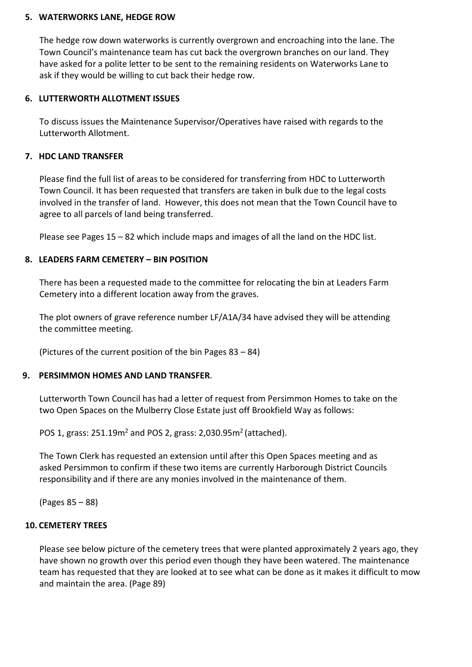## 5. WATERWORKS LANE, HEDGE ROW

The hedge row down waterworks is currently overgrown and encroaching into the lane. The Town Council's maintenance team has cut back the overgrown branches on our land. They have asked for a polite letter to be sent to the remaining residents on Waterworks Lane to ask if they would be willing to cut back their hedge row.

## 6. LUTTERWORTH ALLOTMENT ISSUES

To discuss issues the Maintenance Supervisor/Operatives have raised with regards to the Lutterworth Allotment.

## 7. HDC LAND TRANSFER

Please find the full list of areas to be considered for transferring from HDC to Lutterworth Town Council. It has been requested that transfers are taken in bulk due to the legal costs involved in the transfer of land. However, this does not mean that the Town Council have to agree to all parcels of land being transferred.

Please see Pages 15 – 82 which include maps and images of all the land on the HDC list.

# 8. LEADERS FARM CEMETERY – BIN POSITION

There has been a requested made to the committee for relocating the bin at Leaders Farm Cemetery into a different location away from the graves.

The plot owners of grave reference number LF/A1A/34 have advised they will be attending the committee meeting.

(Pictures of the current position of the bin Pages 83 – 84)

## 9. PERSIMMON HOMES AND LAND TRANSFER.

Lutterworth Town Council has had a letter of request from Persimmon Homes to take on the two Open Spaces on the Mulberry Close Estate just off Brookfield Way as follows:

POS 1, grass:  $251.19m<sup>2</sup>$  and POS 2, grass:  $2,030.95m<sup>2</sup>$  (attached).

The Town Clerk has requested an extension until after this Open Spaces meeting and as asked Persimmon to confirm if these two items are currently Harborough District Councils responsibility and if there are any monies involved in the maintenance of them.

(Pages 85 – 88)

# 10. CEMETERY TREES

Please see below picture of the cemetery trees that were planted approximately 2 years ago, they have shown no growth over this period even though they have been watered. The maintenance team has requested that they are looked at to see what can be done as it makes it difficult to mow and maintain the area. (Page 89)